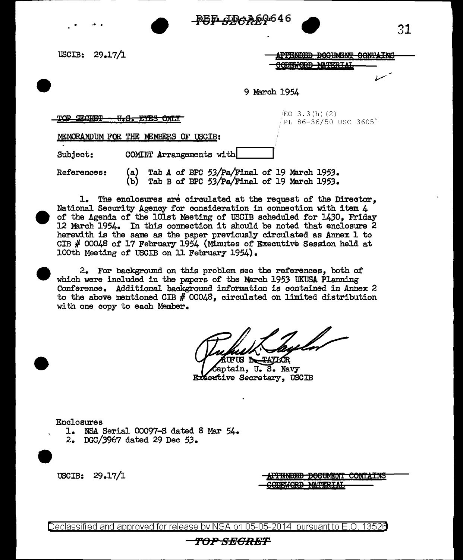$-$ <del>PUP  $-$ PUP  $-$ PUP  $-$ </del><br>29.17/1  $-$ <del>APPRNDED</del> DOGE

USCIB: 29.17/1

----------

|                   | <del>APPENDED DOGUMENT CONTAINS</del> |  |
|-------------------|---------------------------------------|--|
|                   |                                       |  |
| CODEWORD MATERIAL |                                       |  |
|                   |                                       |  |

9 March 1954

TOP SECRET <del>U.S. EYES ONLY</del>  $/$ EO 3.3 $(h)$   $(2)$ PL 86-36/50 USC 3605"

MEMORANDUM FOR THE MEMBERS OF USCIB:

Subject: COMINT Arrangements with

References: (a) Tab A of BPC 53/Pa/Final of 19 March 1953.<br>(b) Tab B of BPC 53/Pa/Final of 19 March 1953. Tab B of BPC 53/Pa/Final of 19 March 1953.

1. The enclosures are circulated at the request of the Director, National Security Agency for consideration in connection with item  $4$ of the Agenda of the lOlst Meeting of USCIB scheduled for 1430, Friday 12 March 1954. In this connection it should be noted that enclosure 2 herewith is the same as the paper previously circulated as Annex 1 to CIB # 00048 of 17 February 1954 {Minutes of Executive Session held at 100th Meeting of USCIB on 11 February 1954).

2. For background. on this problem see the references, both of which were included in the papers of the March 1953 UKUSA Planning Con£erence. Additional background information is contained in Annex 2 to the above mentioned CIB  $#$  00048, circulated on limited distribution with one copy to each Member.

UFUS **N** TAYLOR aptain, U.S. Navy Executive Secretary, USCIB

Enclosures

- 1. NSA Serial 00097-S dated 8 Mar 54.
- 2. DGC/3967 dated 29 Dec 53.

USCIB: 29.17/1

<del>DOCUMENT CONTAINS</del>

Declassified and approved for release by NSA on 05-05-2014 pursuant to E.O. 13526

## **f'OPSBORET**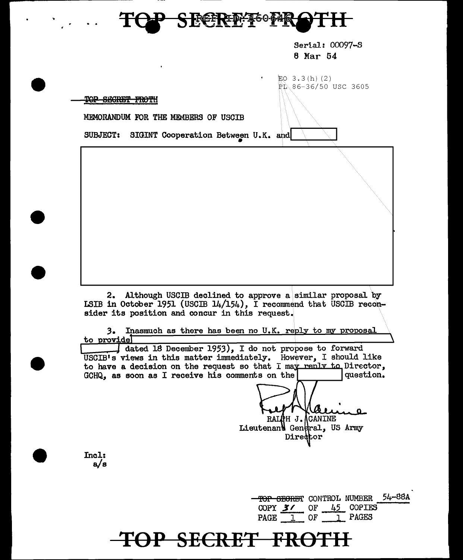

Serial: 00097-S 8 Mar 54

 $EO$  3.3(h) (2)  $P_1$  86-36/50 USC 3605

TOP SECRET FROTH

MEMORANDUM FOR THE MEMBERS OF USOIB

SUBJECT: SIGINT Cooperation Between U.K. and

2. Although USCIB declined to approve a similar proposal by LSIB in October 1951 (USCIB 14/154), I recommend that USCIB reconsider its position and concur in this request.

3. Inasmuch as there has been no U.K. reply to my proposal to provide

dated 18 December 1953), I do not propose to forward USCIB's views in this matter immediately. However, I should like to have a decision on the request so that I may reply to Director, GCHQ, as soon as I receive his comments on the question. GCHQ, as soon as I receive his comments on the

RALOH J. CANINE<br>Lieutenand General, US Army Director

Incl: a/s

> TOP SEGRET CONTROL NUMBER 54-88A COPY  $3$  / OF  $45$  COPIES PAGE 1 OF 1 PAGES

## $\overline{\textbf{OP}}$  <del>SECRET FR</del>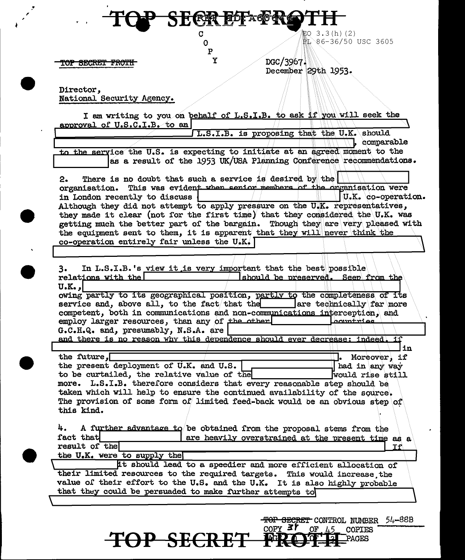$20 \t3.3(h) (2)$ 86-36/50 USC 3605

TOP SECRET FROTH

×

DGC/3967. 29th 1953.

Ì

Director,<br>National Security Agency.

| I am writing to you on behalf of L.S.I.B. to ask if you will seek the          |                  |                                    |                    |
|--------------------------------------------------------------------------------|------------------|------------------------------------|--------------------|
| approval of U.S.C.I.B. to an                                                   |                  |                                    |                    |
| L.S.I.B. is proposing that the U.K. should                                     |                  |                                    |                    |
|                                                                                |                  |                                    | comparable         |
| to the service the U.S. is expecting to initiate at an agreed moment to the    |                  |                                    |                    |
| as a result of the 1953 UK/USA Planning Conference recommendations.            |                  |                                    |                    |
|                                                                                |                  |                                    |                    |
| There is no doubt that such a service is desired by the<br>2.                  |                  |                                    |                    |
| This was evident when senior members of the organisation were                  |                  |                                    |                    |
| organisation.                                                                  |                  |                                    |                    |
| in London recently to discuss                                                  |                  |                                    | U.K. co-operation. |
| Although they did not attempt to apply pressure on the U.K. representatives,   |                  |                                    |                    |
| they made it clear (not for the first time) that they considered the U.K. was  |                  |                                    |                    |
| getting much the better part of the bargain. Though they are very pleased with |                  |                                    |                    |
| the equipment sent to them, it is apparent that they will never think the      |                  |                                    |                    |
| co-operation entirely fair unless the U.K.                                     |                  |                                    |                    |
|                                                                                |                  |                                    |                    |
|                                                                                |                  |                                    |                    |
| In L.S.I.B.'s view it is very important that the best possible<br>3.           |                  |                                    |                    |
| relations with the                                                             |                  | should be preserved. Seen from the |                    |
| $U$ . $K0$ ,                                                                   |                  |                                    |                    |
| owing partly to its geographical position, partly to the completeness of its   |                  |                                    |                    |
| service and, above all, to the fact that the lare technically far more         |                  |                                    |                    |
| competent, both in communications and non-communications interception, and     |                  |                                    |                    |
| employ larger resources, than any of the other                                 |                  | Leountries                         |                    |
| G.C.H.Q. and, presumably, N.S.A. are                                           |                  |                                    |                    |
| and there is no reason why this dependence should ever decrease: indeed.       |                  |                                    | าัชใ               |
|                                                                                |                  |                                    | in                 |
| the future, $\Box$                                                             |                  |                                    | Moreover, if       |
| the present deployment of U.K. and U.S.                                        |                  |                                    | had in any way     |
| to be curtailed, the relative value of the                                     |                  |                                    | would rise still   |
|                                                                                |                  |                                    |                    |
| L.S.I.B. therefore considers that every reasonable step should be<br>more.     |                  |                                    |                    |
| taken which will help to ensure the continued availability of the source.      |                  |                                    |                    |
| The provision of some form of limited feed-back would be an obvious step of    |                  |                                    |                    |
| this kind.                                                                     |                  |                                    |                    |
|                                                                                |                  |                                    |                    |
| A further advantage to be obtained from the proposal stems from the<br>4.      |                  |                                    |                    |
| fact that<br>are heavily overstrained at the present time as a                 |                  |                                    |                    |
| result of the                                                                  |                  |                                    |                    |
| the U.K. were to supply the                                                    |                  |                                    |                    |
| it should lead to a speedier and more efficient allocation of                  |                  |                                    |                    |
| their limited resources to the required targets. This would increase the       |                  |                                    |                    |
| value of their effort to the U.S. and the U.K. It is also highly probable      |                  |                                    |                    |
| that they could be persuaded to make further attempts to                       |                  |                                    |                    |
|                                                                                |                  |                                    |                    |
|                                                                                |                  |                                    |                    |
|                                                                                |                  |                                    |                    |
|                                                                                |                  | TOP SECRET CONTROL NUMBER          | 54–88B             |
|                                                                                | $\text{corr}$ 3r | .45<br>0F<br>COPIES                |                    |
|                                                                                |                  | PAGES                              |                    |
|                                                                                |                  |                                    |                    |

**ER ELFAGRE** 

ù

 $\overline{c}$ <br> $0$ 

 $\, {\bf p}$  $\mathbf{\tilde{X}}$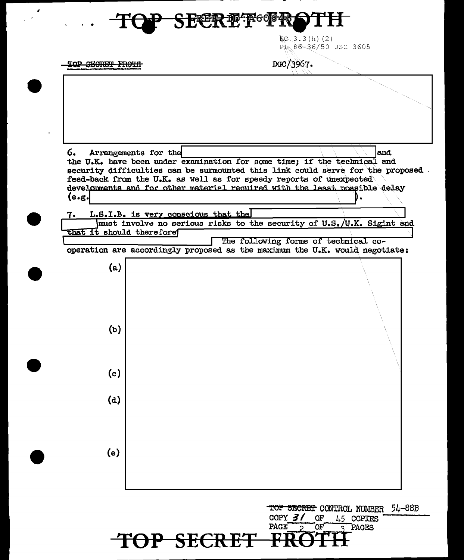## 光线形 地

 $E0.3.3(h)$  (2) PL 86-36/50 USC 3605

TOP SECRET FROTH

DGC/3967.

6. and Arrangements for the the U.K. have been under examination for some time; if the technical and security difficulties can be surmounted this link could serve for the proposed feed-back from the U.K. as well as for speedy reports of unexpected developments and for other material required with the least possible delay  $(e.g.$ L.S.I.B. is very conscious that the 7. must involve no serious risks to the security of U.S./U.K. Sigint and that it should therefore The following forms of technical cooperation are accordingly proposed as the maximum the U.K. would negotiate:  $(a)$  $(b)$  $(c)$  $(d)$  $(e)$ 

> 54–88B TOP SECRET CONTROL NUMBER COPY  $3/$ **OF** 45 COPIES **PAGE** ОF PAGES 2 P SECRET